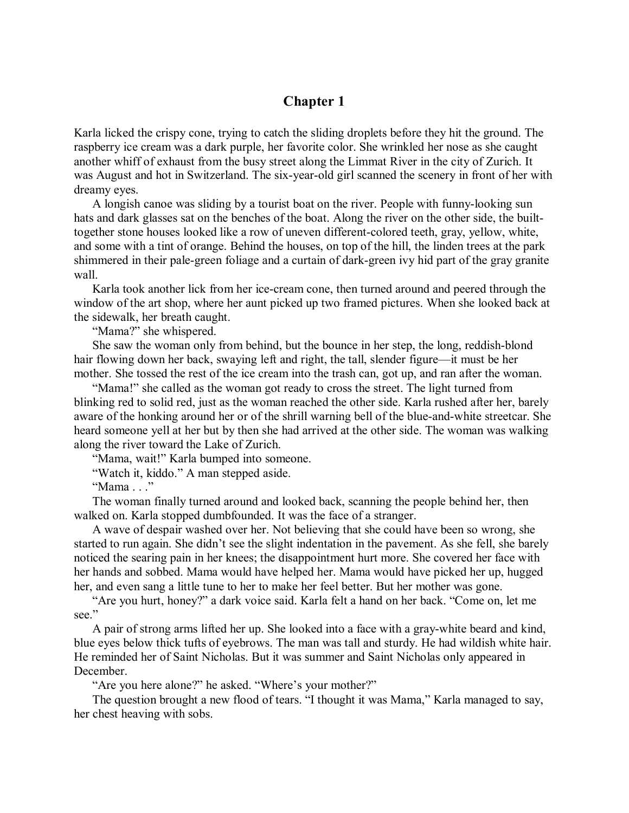## **Chapter 1**

Karla licked the crispy cone, trying to catch the sliding droplets before they hit the ground. The raspberry ice cream was a dark purple, her favorite color. She wrinkled her nose as she caught another whiff of exhaust from the busy street along the Limmat River in the city of Zurich. It was August and hot in Switzerland. The six-year-old girl scanned the scenery in front of her with dreamy eyes.

A longish canoe was sliding by a tourist boat on the river. People with funny-looking sun hats and dark glasses sat on the benches of the boat. Along the river on the other side, the builttogether stone houses looked like a row of uneven different-colored teeth, gray, yellow, white, and some with a tint of orange. Behind the houses, on top of the hill, the linden trees at the park shimmered in their pale-green foliage and a curtain of dark-green ivy hid part of the gray granite wall.

Karla took another lick from her ice-cream cone, then turned around and peered through the window of the art shop, where her aunt picked up two framed pictures. When she looked back at the sidewalk, her breath caught.

"Mama?" she whispered.

She saw the woman only from behind, but the bounce in her step, the long, reddish-blond hair flowing down her back, swaying left and right, the tall, slender figure—it must be her mother. She tossed the rest of the ice cream into the trash can, got up, and ran after the woman.

"Mama!" she called as the woman got ready to cross the street. The light turned from blinking red to solid red, just as the woman reached the other side. Karla rushed after her, barely aware of the honking around her or of the shrill warning bell of the blue-and-white streetcar. She heard someone yell at her but by then she had arrived at the other side. The woman was walking along the river toward the Lake of Zurich.

"Mama, wait!" Karla bumped into someone.

"Watch it, kiddo." A man stepped aside.

"Mama . . ."

The woman finally turned around and looked back, scanning the people behind her, then walked on. Karla stopped dumbfounded. It was the face of a stranger.

A wave of despair washed over her. Not believing that she could have been so wrong, she started to run again. She didn't see the slight indentation in the pavement. As she fell, she barely noticed the searing pain in her knees; the disappointment hurt more. She covered her face with her hands and sobbed. Mama would have helped her. Mama would have picked her up, hugged her, and even sang a little tune to her to make her feel better. But her mother was gone.

"Are you hurt, honey?" a dark voice said. Karla felt a hand on her back. "Come on, let me see."

A pair of strong arms lifted her up. She looked into a face with a gray-white beard and kind, blue eyes below thick tufts of eyebrows. The man was tall and sturdy. He had wildish white hair. He reminded her of Saint Nicholas. But it was summer and Saint Nicholas only appeared in December.

"Are you here alone?" he asked. "Where's your mother?"

The question brought a new flood of tears. "I thought it was Mama," Karla managed to say, her chest heaving with sobs.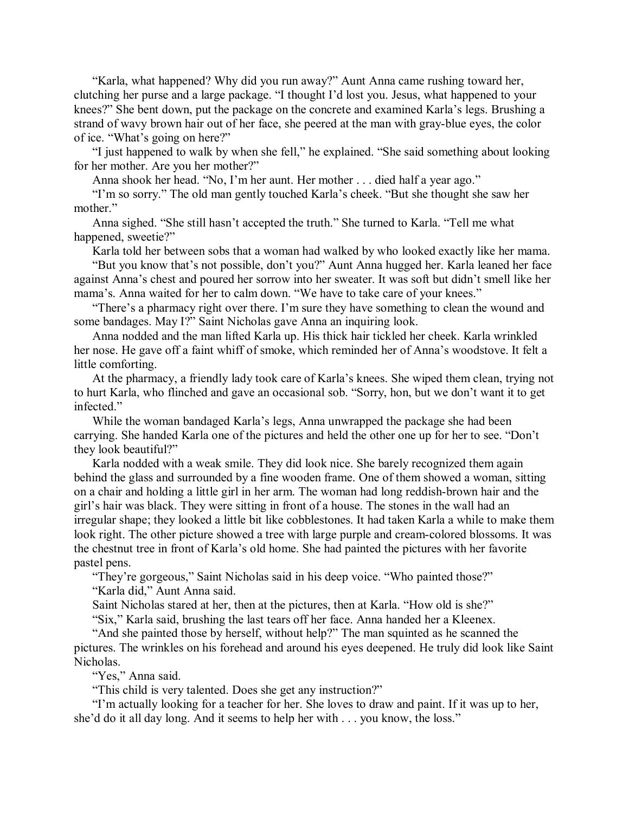"Karla, what happened? Why did you run away?" Aunt Anna came rushing toward her, clutching her purse and a large package. "I thought I'd lost you. Jesus, what happened to your knees?" She bent down, put the package on the concrete and examined Karla's legs. Brushing a strand of wavy brown hair out of her face, she peered at the man with gray-blue eyes, the color of ice. "What's going on here?"

"I just happened to walk by when she fell," he explained. "She said something about looking for her mother. Are you her mother?"

Anna shook her head. "No, I'm her aunt. Her mother . . . died half a year ago."

"I'm so sorry." The old man gently touched Karla's cheek. "But she thought she saw her mother."

Anna sighed. "She still hasn't accepted the truth." She turned to Karla. "Tell me what happened, sweetie?"

Karla told her between sobs that a woman had walked by who looked exactly like her mama.

"But you know that's not possible, don't you?" Aunt Anna hugged her. Karla leaned her face against Anna's chest and poured her sorrow into her sweater. It was soft but didn't smell like her mama's. Anna waited for her to calm down. "We have to take care of your knees."

"There's a pharmacy right over there. I'm sure they have something to clean the wound and some bandages. May I?" Saint Nicholas gave Anna an inquiring look.

Anna nodded and the man lifted Karla up. His thick hair tickled her cheek. Karla wrinkled her nose. He gave off a faint whiff of smoke, which reminded her of Anna's woodstove. It felt a little comforting.

At the pharmacy, a friendly lady took care of Karla's knees. She wiped them clean, trying not to hurt Karla, who flinched and gave an occasional sob. "Sorry, hon, but we don't want it to get infected."

While the woman bandaged Karla's legs, Anna unwrapped the package she had been carrying. She handed Karla one of the pictures and held the other one up for her to see. "Don't they look beautiful?"

Karla nodded with a weak smile. They did look nice. She barely recognized them again behind the glass and surrounded by a fine wooden frame. One of them showed a woman, sitting on a chair and holding a little girl in her arm. The woman had long reddish-brown hair and the girl's hair was black. They were sitting in front of a house. The stones in the wall had an irregular shape; they looked a little bit like cobblestones. It had taken Karla a while to make them look right. The other picture showed a tree with large purple and cream-colored blossoms. It was the chestnut tree in front of Karla's old home. She had painted the pictures with her favorite pastel pens.

"They're gorgeous," Saint Nicholas said in his deep voice. "Who painted those?" "Karla did," Aunt Anna said.

Saint Nicholas stared at her, then at the pictures, then at Karla. "How old is she?"

"Six," Karla said, brushing the last tears off her face. Anna handed her a Kleenex.

"And she painted those by herself, without help?" The man squinted as he scanned the pictures. The wrinkles on his forehead and around his eyes deepened. He truly did look like Saint Nicholas.

"Yes," Anna said.

"This child is very talented. Does she get any instruction?"

"I'm actually looking for a teacher for her. She loves to draw and paint. If it was up to her, she'd do it all day long. And it seems to help her with . . . you know, the loss."